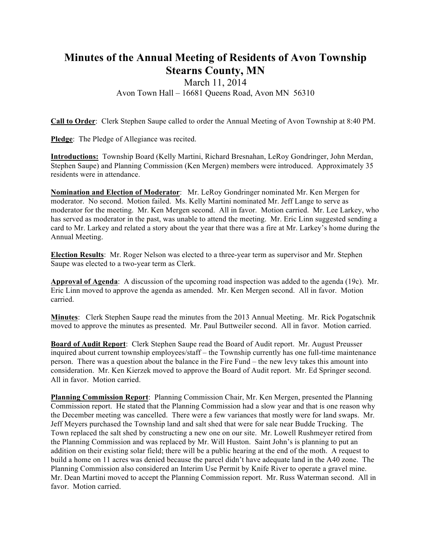## **Minutes of the Annual Meeting of Residents of Avon Township Stearns County, MN**

## March 11, 2014 Avon Town Hall – 16681 Queens Road, Avon MN 56310

**Call to Order**: Clerk Stephen Saupe called to order the Annual Meeting of Avon Township at 8:40 PM.

**Pledge**: The Pledge of Allegiance was recited.

**Introductions:** Township Board (Kelly Martini, Richard Bresnahan, LeRoy Gondringer, John Merdan, Stephen Saupe) and Planning Commission (Ken Mergen) members were introduced. Approximately 35 residents were in attendance.

**Nomination and Election of Moderator**: Mr. LeRoy Gondringer nominated Mr. Ken Mergen for moderator. No second. Motion failed. Ms. Kelly Martini nominated Mr. Jeff Lange to serve as moderator for the meeting. Mr. Ken Mergen second. All in favor. Motion carried. Mr. Lee Larkey, who has served as moderator in the past, was unable to attend the meeting. Mr. Eric Linn suggested sending a card to Mr. Larkey and related a story about the year that there was a fire at Mr. Larkey's home during the Annual Meeting.

**Election Results**: Mr. Roger Nelson was elected to a three-year term as supervisor and Mr. Stephen Saupe was elected to a two-year term as Clerk.

**Approval of Agenda**: A discussion of the upcoming road inspection was added to the agenda (19c). Mr. Eric Linn moved to approve the agenda as amended. Mr. Ken Mergen second. All in favor. Motion carried.

**Minutes**: Clerk Stephen Saupe read the minutes from the 2013 Annual Meeting. Mr. Rick Pogatschnik moved to approve the minutes as presented. Mr. Paul Buttweiler second. All in favor. Motion carried.

**Board of Audit Report**: Clerk Stephen Saupe read the Board of Audit report. Mr. August Preusser inquired about current township employees/staff – the Township currently has one full-time maintenance person. There was a question about the balance in the Fire Fund – the new levy takes this amount into consideration. Mr. Ken Kierzek moved to approve the Board of Audit report. Mr. Ed Springer second. All in favor. Motion carried.

**Planning Commission Report**: Planning Commission Chair, Mr. Ken Mergen, presented the Planning Commission report. He stated that the Planning Commission had a slow year and that is one reason why the December meeting was cancelled. There were a few variances that mostly were for land swaps. Mr. Jeff Meyers purchased the Township land and salt shed that were for sale near Budde Trucking. The Town replaced the salt shed by constructing a new one on our site. Mr. Lowell Rushmeyer retired from the Planning Commission and was replaced by Mr. Will Huston. Saint John's is planning to put an addition on their existing solar field; there will be a public hearing at the end of the moth. A request to build a home on 11 acres was denied because the parcel didn't have adequate land in the A40 zone. The Planning Commission also considered an Interim Use Permit by Knife River to operate a gravel mine. Mr. Dean Martini moved to accept the Planning Commission report. Mr. Russ Waterman second. All in favor. Motion carried.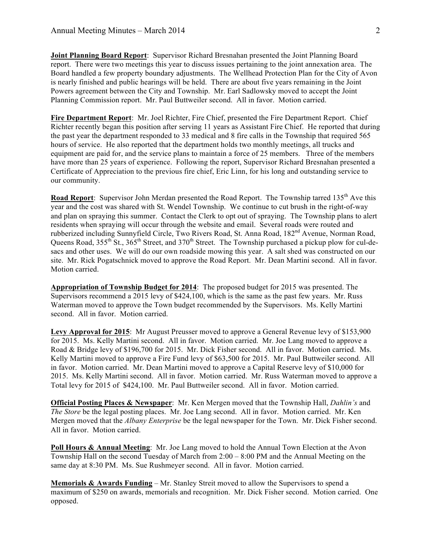**Joint Planning Board Report**: Supervisor Richard Bresnahan presented the Joint Planning Board report. There were two meetings this year to discuss issues pertaining to the joint annexation area. The Board handled a few property boundary adjustments. The Wellhead Protection Plan for the City of Avon is nearly finished and public hearings will be held. There are about five years remaining in the Joint Powers agreement between the City and Township. Mr. Earl Sadlowsky moved to accept the Joint Planning Commission report. Mr. Paul Buttweiler second. All in favor. Motion carried.

**Fire Department Report**: Mr. Joel Richter, Fire Chief, presented the Fire Department Report. Chief Richter recently began this position after serving 11 years as Assistant Fire Chief. He reported that during the past year the department responded to 33 medical and 8 fire calls in the Township that required 565 hours of service. He also reported that the department holds two monthly meetings, all trucks and equipment are paid for, and the service plans to maintain a force of 25 members. Three of the members have more than 25 years of experience. Following the report, Supervisor Richard Bresnahan presented a Certificate of Appreciation to the previous fire chief, Eric Linn, for his long and outstanding service to our community.

**Road Report:** Supervisor John Merdan presented the Road Report. The Township tarred 135<sup>th</sup> Ave this year and the cost was shared with St. Wendel Township. We continue to cut brush in the right-of-way and plan on spraying this summer. Contact the Clerk to opt out of spraying. The Township plans to alert residents when spraying will occur through the website and email. Several roads were routed and rubberized including Sunnyfield Circle, Two Rivers Road, St. Anna Road, 182<sup>nd</sup> Avenue, Norman Road, Queens Road, 355<sup>th</sup> St., 365<sup>th</sup> Street, and 370<sup>th</sup> Street. The Township purchased a pickup plow for cul-desacs and other uses. We will do our own roadside mowing this year. A salt shed was constructed on our site. Mr. Rick Pogatschnick moved to approve the Road Report. Mr. Dean Martini second. All in favor. Motion carried.

**Appropriation of Township Budget for 2014**: The proposed budget for 2015 was presented. The Supervisors recommend a 2015 levy of \$424,100, which is the same as the past few years. Mr. Russ Waterman moved to approve the Town budget recommended by the Supervisors. Ms. Kelly Martini second. All in favor. Motion carried.

**Levy Approval for 2015**: Mr August Preusser moved to approve a General Revenue levy of \$153,900 for 2015. Ms. Kelly Martini second. All in favor. Motion carried. Mr. Joe Lang moved to approve a Road & Bridge levy of \$196,700 for 2015. Mr. Dick Fisher second. All in favor. Motion carried. Ms. Kelly Martini moved to approve a Fire Fund levy of \$63,500 for 2015. Mr. Paul Buttweiler second. All in favor. Motion carried. Mr. Dean Martini moved to approve a Capital Reserve levy of \$10,000 for 2015. Ms. Kelly Martini second. All in favor. Motion carried. Mr. Russ Waterman moved to approve a Total levy for 2015 of \$424,100. Mr. Paul Buttweiler second. All in favor. Motion carried.

**Official Posting Places & Newspaper**: Mr. Ken Mergen moved that the Township Hall, *Dahlin's* and *The Store* be the legal posting places. Mr. Joe Lang second. All in favor. Motion carried. Mr. Ken Mergen moved that the *Albany Enterprise* be the legal newspaper for the Town. Mr. Dick Fisher second. All in favor. Motion carried.

**Poll Hours & Annual Meeting:** Mr. Joe Lang moved to hold the Annual Town Election at the Avon Township Hall on the second Tuesday of March from  $2:00 - 8:00$  PM and the Annual Meeting on the same day at 8:30 PM. Ms. Sue Rushmeyer second. All in favor. Motion carried.

**Memorials & Awards Funding** – Mr. Stanley Streit moved to allow the Supervisors to spend a maximum of \$250 on awards, memorials and recognition. Mr. Dick Fisher second. Motion carried. One opposed.